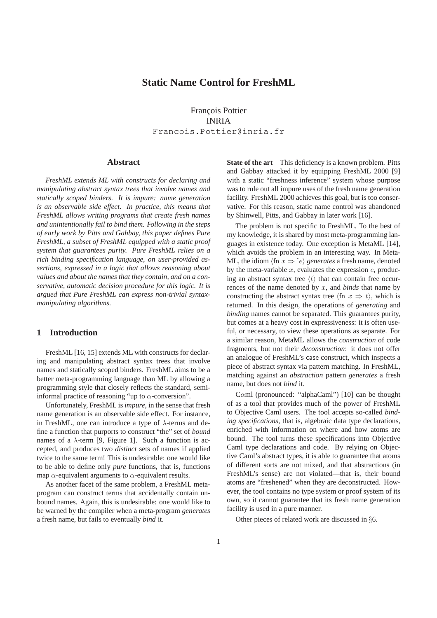# **Static Name Control for FreshML**

François Pottier INRIA Francois.Pottier@inria.fr

#### **Abstract**

*FreshML extends ML with constructs for declaring and manipulating abstract syntax trees that involve names and statically scoped binders. It is impure: name generation is an observable side effect. In practice, this means that FreshML allows writing programs that create fresh names and unintentionally fail to bind them. Following in the steps of early work by Pitts and Gabbay, this paper defines Pure FreshML, a subset of FreshML equipped with a static proof system that guarantees purity. Pure FreshML relies on a rich binding specification language, on user-provided assertions, expressed in a logic that allows reasoning about values and about the names that they contain, and on a conservative, automatic decision procedure for this logic. It is argued that Pure FreshML can express non-trivial syntaxmanipulating algorithms.*

# **1 Introduction**

FreshML [16, 15] extends ML with constructs for declaring and manipulating abstract syntax trees that involve names and statically scoped binders. FreshML aims to be a better meta-programming language than ML by allowing a programming style that closely reflects the standard, semiinformal practice of reasoning "up to  $\alpha$ -conversion".

Unfortunately, FreshML is *impure*, in the sense that fresh name generation is an observable side effect. For instance, in FreshML, one can introduce a type of  $\lambda$ -terms and define a function that purports to construct "the" set of *bound* names of a  $\lambda$ -term [9, Figure 1]. Such a function is accepted, and produces two *distinct* sets of names if applied twice to the same term! This is undesirable: one would like to be able to define only *pure* functions, that is, functions map  $\alpha$ -equivalent arguments to  $\alpha$ -equivalent results.

As another facet of the same problem, a FreshML metaprogram can construct terms that accidentally contain unbound names. Again, this is undesirable: one would like to be warned by the compiler when a meta-program *generates* a fresh name, but fails to eventually *bind* it.

**State of the art** This deficiency is a known problem. Pitts and Gabbay attacked it by equipping FreshML 2000 [9] with a static "freshness inference" system whose purpose was to rule out all impure uses of the fresh name generation facility. FreshML 2000 achieves this goal, but is too conservative. For this reason, static name control was abandoned by Shinwell, Pitts, and Gabbay in later work [16].

The problem is not specific to FreshML. To the best of my knowledge, it is shared by most meta-programming languages in existence today. One exception is MetaML [14], which avoids the problem in an interesting way. In Meta-ML, the idiom  $\langle \text{fn } x \Rightarrow \tilde{e} \rangle$  *generates* a fresh name, denoted by the meta-variable  $x$ , evaluates the expression  $e$ , producing an abstract syntax tree  $\langle t \rangle$  that can contain free occurrences of the name denoted by x, and *binds* that name by constructing the abstract syntax tree  $\langle \text{fn} \ x \Rightarrow t \rangle$ , which is returned. In this design, the operations of *generating* and *binding* names cannot be separated. This guarantees purity, but comes at a heavy cost in expressiveness: it is often useful, or necessary, to view these operations as separate. For a similar reason, MetaML allows the *construction* of code fragments, but not their *deconstruction*: it does not offer an analogue of FreshML's case construct, which inspects a piece of abstract syntax via pattern matching. In FreshML, matching against an *abstraction* pattern *generates* a fresh name, but does not *bind* it.

Cαml (pronounced: "alphaCaml") [10] can be thought of as a tool that provides much of the power of FreshML to Objective Caml users. The tool accepts so-called *binding specifications*, that is, algebraic data type declarations, enriched with information on where and how atoms are bound. The tool turns these specifications into Objective Caml type declarations and code. By relying on Objective Caml's abstract types, it is able to guarantee that atoms of different sorts are not mixed, and that abstractions (in FreshML's sense) are not violated—that is, their bound atoms are "freshened" when they are deconstructed. However, the tool contains no type system or proof system of its own, so it cannot guarantee that its fresh name generation facility is used in a pure manner.

Other pieces of related work are discussed in §6.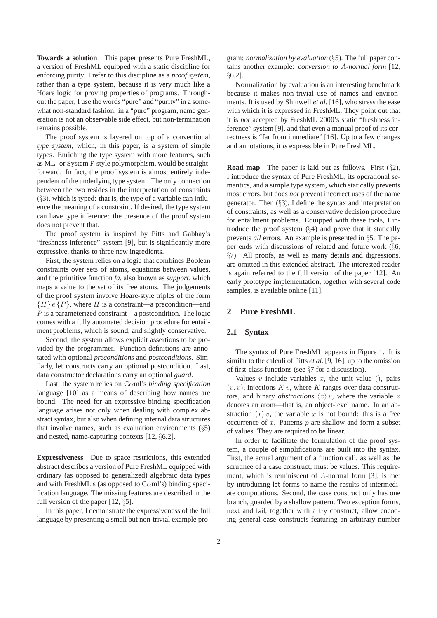**Towards a solution** This paper presents Pure FreshML, a version of FreshML equipped with a static discipline for enforcing purity. I refer to this discipline as a *proof system*, rather than a type system, because it is very much like a Hoare logic for proving properties of programs. Throughout the paper, I use the words "pure" and "purity" in a somewhat non-standard fashion: in a "pure" program, name generation is not an observable side effect, but non-termination remains possible.

The proof system is layered on top of a conventional *type system*, which, in this paper, is a system of simple types. Enriching the type system with more features, such as ML- or System F-style polymorphism, would be straightforward. In fact, the proof system is almost entirely independent of the underlying type system. The only connection between the two resides in the interpretation of constraints (§3), which is typed: that is, the type of a variable can influence the meaning of a constraint. If desired, the type system can have type inference: the presence of the proof system does not prevent that.

The proof system is inspired by Pitts and Gabbay's "freshness inference" system [9], but is significantly more expressive, thanks to three new ingredients.

First, the system relies on a logic that combines Boolean constraints over sets of atoms, equations between values, and the primitive function *fa*, also known as *support*, which maps a value to the set of its free atoms. The judgements of the proof system involve Hoare-style triples of the form  ${H}$   $e$  {P}, where H is a constraint—a precondition—and P is a parameterized constraint—a postcondition. The logic comes with a fully automated decision procedure for entailment problems, which is sound, and slightly conservative.

Second, the system allows explicit assertions to be provided by the programmer. Function definitions are annotated with optional *preconditions* and *postconditions*. Similarly, let constructs carry an optional postcondition. Last, data constructor declarations carry an optional *guard*.

Last, the system relies on Cαml's *binding specification* language [10] as a means of describing how names are bound. The need for an expressive binding specification language arises not only when dealing with complex abstract syntax, but also when defining internal data structures that involve names, such as evaluation environments  $(\S 5)$ and nested, name-capturing contexts [12, §6.2].

**Expressiveness** Due to space restrictions, this extended abstract describes a version of Pure FreshML equipped with ordinary (as opposed to generalized) algebraic data types and with FreshML's (as opposed to C $\alpha$ ml's) binding specification language. The missing features are described in the full version of the paper [12, §5].

In this paper, I demonstrate the expressiveness of the full language by presenting a small but non-trivial example program: *normalization by evaluation* (§5). The full paper contains another example: *conversion to* A*-normal form* [12, §6.2].

Normalization by evaluation is an interesting benchmark because it makes non-trivial use of names and environments. It is used by Shinwell *et al.* [16], who stress the ease with which it is expressed in FreshML. They point out that it is *not* accepted by FreshML 2000's static "freshness inference" system [9], and that even a manual proof of its correctness is "far from immediate" [16]. Up to a few changes and annotations, it *is* expressible in Pure FreshML.

**Road map** The paper is laid out as follows. First (§2), I introduce the syntax of Pure FreshML, its operational semantics, and a simple type system, which statically prevents most errors, but does *not* prevent incorrect uses of the name generator. Then (§3), I define the syntax and interpretation of constraints, as well as a conservative decision procedure for entailment problems. Equipped with these tools, I introduce the proof system (§4) and prove that it statically prevents *all* errors. An example is presented in §5. The paper ends with discussions of related and future work (§6, §7). All proofs, as well as many details and digressions, are omitted in this extended abstract. The interested reader is again referred to the full version of the paper [12]. An early prototype implementation, together with several code samples, is available online [11].

# **2 Pure FreshML**

### **2.1 Syntax**

The syntax of Pure FreshML appears in Figure 1. It is similar to the calculi of Pitts *et al.* [9, 16], up to the omission of first-class functions (see §7 for a discussion).

Values  $v$  include variables  $x$ , the unit value (), pairs  $(v, v)$ , injections K v, where K ranges over data constructors, and binary *abstractions*  $\langle x \rangle v$ , where the variable x denotes an atom—that is, an object-level name. In an abstraction  $\langle x \rangle v$ , the variable x is not bound: this is a free occurrence of  $x$ . Patterns  $p$  are shallow and form a subset of values. They are required to be linear.

In order to facilitate the formulation of the proof system, a couple of simplifications are built into the syntax. First, the actual argument of a function call, as well as the scrutinee of a case construct, must be values. This requirement, which is reminiscent of A-normal form [3], is met by introducing let forms to name the results of intermediate computations. Second, the case construct only has one branch, guarded by a shallow pattern. Two exception forms, next and fail, together with a try construct, allow encoding general case constructs featuring an arbitrary number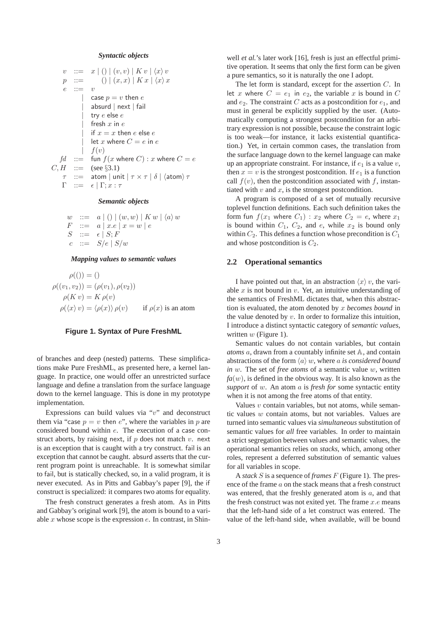#### *Syntactic objects*

$$
v ::= x | () | (v, v) | K v | \langle x \rangle v
$$
  
\n
$$
p ::= () | (x, x) | K x | \langle x \rangle x
$$
  
\n
$$
e ::= v
$$
  
\n
$$
| \text{ case } p = v \text{ then } e
$$
  
\n
$$
| \text{ absurd} | \text{ next} | \text{ fail}
$$
  
\n
$$
| \text{ try } e \text{ else } e
$$
  
\n
$$
| \text{ fresh } x \text{ in } e
$$
  
\n
$$
| \text{ if } x = x \text{ then } e \text{ else } e
$$
  
\n
$$
| \text{ let } x \text{ where } C = e \text{ in } e
$$
  
\n
$$
f(v)
$$
  
\n
$$
fd ::= \text{ fun } f(x \text{ where } C) : x \text{ where } C = e
$$
  
\n
$$
C, H ::= (\text{see §3.1})
$$
  
\n
$$
\tau ::= \text{atom} | \text{unit} | \tau \times \tau | \delta | \langle \text{atom} \rangle \tau
$$
  
\n
$$
\Gamma ::= \epsilon | \Gamma; x : \tau
$$

#### *Semantic objects*

$$
w ::= a | () | (w, w) | K w | \langle a \rangle w
$$
  
\n
$$
F ::= a | x.e | x = w | e
$$
  
\n
$$
S ::= \epsilon | S; F
$$
  
\n
$$
c ::= S/e | S/w
$$

#### *Mapping values to semantic values*

$$
\rho(()) = ()
$$
  
\n
$$
\rho((v_1, v_2)) = (\rho(v_1), \rho(v_2))
$$
  
\n
$$
\rho(K v) = K \rho(v)
$$
  
\n
$$
\rho(\langle x \rangle v) = \langle \rho(x) \rangle \rho(v) \quad \text{if } \rho(x) \text{ is an atom}
$$

#### **Figure 1. Syntax of Pure FreshML**

of branches and deep (nested) patterns. These simplifications make Pure FreshML, as presented here, a kernel language. In practice, one would offer an unrestricted surface language and define a translation from the surface language down to the kernel language. This is done in my prototype implementation.

Expressions can build values via " $v$ " and deconstruct them via "case  $p = v$  then e", where the variables in p are considered bound within e. The execution of a case construct aborts, by raising next, if  $p$  does not match  $v$ . next is an exception that is caught with a try construct. fail is an exception that cannot be caught. absurd asserts that the current program point is unreachable. It is somewhat similar to fail, but is statically checked, so, in a valid program, it is never executed. As in Pitts and Gabbay's paper [9], the if construct is specialized: it compares two atoms for equality.

The fresh construct generates a fresh atom. As in Pitts and Gabbay's original work [9], the atom is bound to a variable x whose scope is the expression  $e$ . In contrast, in Shinwell *et al.*'s later work [16], fresh is just an effectful primitive operation. It seems that only the first form can be given a pure semantics, so it is naturally the one I adopt.

The let form is standard, except for the assertion C. In let x where  $C = e_1$  in  $e_2$ , the variable x is bound in C and  $e_2$ . The constraint C acts as a postcondition for  $e_1$ , and must in general be explicitly supplied by the user. (Automatically computing a strongest postcondition for an arbitrary expression is not possible, because the constraint logic is too weak—for instance, it lacks existential quantification.) Yet, in certain common cases, the translation from the surface language down to the kernel language can make up an appropriate constraint. For instance, if  $e_1$  is a value  $v$ , then  $x = v$  is the strongest postcondition. If  $e_1$  is a function call  $f(v)$ , then the postcondition associated with f, instantiated with  $v$  and  $x$ , is the strongest postcondition.

A program is composed of a set of mutually recursive toplevel function definitions. Each such definition takes the form fun  $f(x_1)$  where  $C_1$ ) :  $x_2$  where  $C_2 = e$ , where  $x_1$ is bound within  $C_1$ ,  $C_2$ , and e, while  $x_2$  is bound only within  $C_2$ . This defines a function whose precondition is  $C_1$ and whose postcondition is  $C_2$ .

#### **2.2 Operational semantics**

I have pointed out that, in an abstraction  $\langle x \rangle v$ , the variable  $x$  is not bound in  $v$ . Yet, an intuitive understanding of the semantics of FreshML dictates that, when this abstraction is evaluated, the atom denoted by x *becomes bound* in the value denoted by  $v$ . In order to formalize this intuition, I introduce a distinct syntactic category of *semantic values*, written  $w$  (Figure 1).

Semantic values do not contain variables, but contain *atoms* a, drawn from a countably infinite set A, and contain abstractions of the form  $\langle a \rangle$  w, where a *is considered bound in* w*.* The set of *free atoms* of a semantic value w, written  $fa(w)$ , is defined in the obvious way. It is also known as the *support* of w. An atom a is *fresh for* some syntactic entity when it is not among the free atoms of that entity.

Values  $v$  contain variables, but not atoms, while semantic values w contain atoms, but not variables. Values are turned into semantic values via *simultaneous* substitution of semantic values for *all* free variables. In order to maintain a strict segregation between values and semantic values, the operational semantics relies on *stacks*, which, among other roles, represent a deferred substitution of semantic values for all variables in scope.

A *stack* S is a sequence of *frames* F (Figure 1). The presence of the frame  $a$  on the stack means that a fresh construct was entered, that the freshly generated atom is  $a$ , and that the fresh construct was not exited yet. The frame  $x.e$  means that the left-hand side of a let construct was entered. The value of the left-hand side, when available, will be bound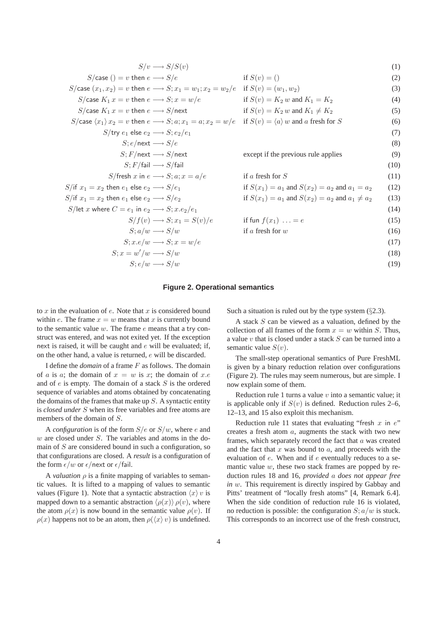$$
S/v \longrightarrow S/S(v)
$$
\n(1)  
\n
$$
S/\text{case } (x_1, x_2) = v \text{ then } e \longrightarrow S; x_1 = w_1; x_2 = w_2/e \text{ if } S(v) = (w_1, w_2)
$$
\n(2)  
\n
$$
S/\text{case } K_1 x = v \text{ then } e \longrightarrow S; x = w/e \text{ if } S(v) = K_2 w \text{ and } K_1 = K_2
$$
\n(3)  
\n
$$
S/\text{case } K_1 x = v \text{ then } e \longrightarrow S; x = w/e \text{ if } S(v) = K_2 w \text{ and } K_1 \neq K_2
$$
\n(4)  
\n
$$
S/\text{case } (x_1) x_2 = v \text{ then } e \longrightarrow S; a; x_1 = a; x_2 = w/e \text{ if } S(v) = \langle a \rangle w \text{ and } a \text{ fresh for } S
$$
\n(6)  
\n
$$
S/tv e_1 \text{ else } e_2 \longrightarrow S; e_2/e_1
$$
\n(7)  
\n
$$
S; e/\text{next} \longrightarrow S/e
$$
\n(8)  
\n
$$
S; F/\text{fail} \longrightarrow S/\text{fail}
$$
\n(9)  
\n
$$
S; F/\text{fail} \longrightarrow S/\text{fail}
$$
\n(10)  
\n
$$
S/\text{free} \text{at } n \text{ else } e_2 \longrightarrow S/e_1
$$
\n(11)  
\n
$$
S/\text{first } n \text{ in } e \longrightarrow S; a; x = a/e \text{ if } a \text{ fresh for } S
$$
\n(12)  
\n
$$
S/\text{if } x_1 = x_2 \text{ then } e_1 \text{ else } e_2 \longrightarrow S/e_1
$$
\n(13)  
\n
$$
S/\text{if } x_1 = x_2 \text{ then } e_1 \text{ else } e_2 \longrightarrow S/e_2
$$
\n(14)  
\n
$$
S/f(v) \longrightarrow S; x_1 = S(v)/e \text{ if } f \text{in } f(x_1) \dots = e \text{ if } a \text{ fresh for } w
$$
\n(15)  
\n
$$
S; a/w \longrightarrow S/w
$$
\n(16)  
\n
$$
S; x \cdot e/w \longrightarrow S; x = w/e
$$
\

#### **Figure 2. Operational semantics**

to  $x$  in the evaluation of  $e$ . Note that  $x$  is considered bound within e. The frame  $x = w$  means that x is currently bound to the semantic value  $w$ . The frame  $e$  means that a try construct was entered, and was not exited yet. If the exception next is raised, it will be caught and e will be evaluated; if, on the other hand, a value is returned, e will be discarded.

I define the *domain* of a frame F as follows. The domain of a is a; the domain of  $x = w$  is x; the domain of x.e. and of  $e$  is empty. The domain of a stack  $S$  is the ordered sequence of variables and atoms obtained by concatenating the domains of the frames that make up  $S$ . A syntactic entity is *closed under* S when its free variables and free atoms are members of the domain of S.

A *configuration* is of the form  $S/e$  or  $S/w$ , where e and  $w$  are closed under  $S$ . The variables and atoms in the domain of S are considered bound in such a configuration, so that configurations are closed. A *result* is a configuration of the form  $\epsilon/w$  or  $\epsilon$ /next or  $\epsilon$ /fail.

A *valuation*  $\rho$  is a finite mapping of variables to semantic values. It is lifted to a mapping of values to semantic values (Figure 1). Note that a syntactic abstraction  $\langle x \rangle v$  is mapped down to a semantic abstraction  $\langle \rho(x) \rangle \rho(v)$ , where the atom  $\rho(x)$  is now bound in the semantic value  $\rho(v)$ . If  $\rho(x)$  happens not to be an atom, then  $\rho(\langle x \rangle v)$  is undefined. Such a situation is ruled out by the type system (§2.3).

A stack  $S$  can be viewed as a valuation, defined by the collection of all frames of the form  $x = w$  within S. Thus, a value  $v$  that is closed under a stack  $S$  can be turned into a semantic value  $S(v)$ .

The small-step operational semantics of Pure FreshML is given by a binary reduction relation over configurations (Figure 2). The rules may seem numerous, but are simple. I now explain some of them.

Reduction rule 1 turns a value  $v$  into a semantic value; it is applicable only if  $S(v)$  is defined. Reduction rules 2–6, 12–13, and 15 also exploit this mechanism.

Reduction rule 11 states that evaluating "fresh x in  $e$ " creates a fresh atom a, augments the stack with two new frames, which separately record the fact that a was created and the fact that  $x$  was bound to  $a$ , and proceeds with the evaluation of e. When and if e eventually reduces to a semantic value  $w$ , these two stack frames are popped by reduction rules 18 and 16, *provided* a *does not appear free in* w*.* This requirement is directly inspired by Gabbay and Pitts' treatment of "locally fresh atoms" [4, Remark 6.4]. When the side condition of reduction rule 16 is violated, no reduction is possible: the configuration  $S$ ;  $a/w$  is stuck. This corresponds to an incorrect use of the fresh construct,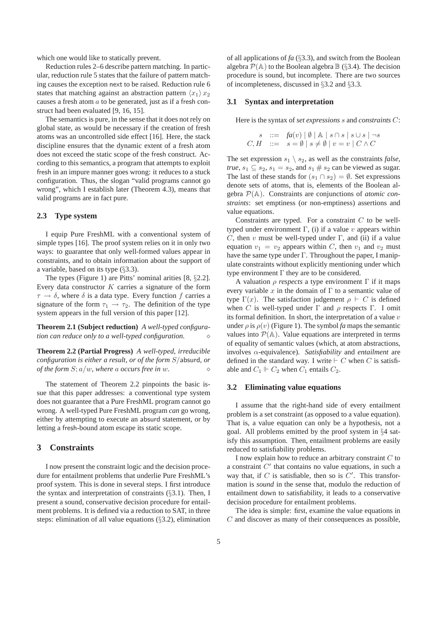which one would like to statically prevent.

Reduction rules 2–6 describe pattern matching. In particular, reduction rule 5 states that the failure of pattern matching causes the exception next to be raised. Reduction rule 6 states that matching against an abstraction pattern  $\langle x_1 \rangle x_2$ causes a fresh atom  $a$  to be generated, just as if a fresh construct had been evaluated [9, 16, 15].

The semantics is pure, in the sense that it does not rely on global state, as would be necessary if the creation of fresh atoms was an uncontrolled side effect [16]. Here, the stack discipline ensures that the dynamic extent of a fresh atom does not exceed the static scope of the fresh construct. According to this semantics, a program that attempts to exploit fresh in an impure manner goes wrong: it reduces to a stuck configuration. Thus, the slogan "valid programs cannot go wrong", which I establish later (Theorem 4.3), means that valid programs are in fact pure.

### **2.3 Type system**

I equip Pure FreshML with a conventional system of simple types [16]. The proof system relies on it in only two ways: to guarantee that only well-formed values appear in constraints, and to obtain information about the support of a variable, based on its type (§3.3).

The types (Figure 1) are Pitts' nominal arities [8, §2.2]. Every data constructor  $K$  carries a signature of the form  $\tau \to \delta$ , where  $\delta$  is a data type. Every function f carries a signature of the form  $\tau_1 \rightarrow \tau_2$ . The definition of the type system appears in the full version of this paper [12].

**Theorem 2.1 (Subject reduction)** *A well-typed configuration can reduce only to a well-typed configuration.* 

**Theorem 2.2 (Partial Progress)** *A well-typed, irreducible configuration is either a result, or of the form* S/absurd*, or of the form*  $S$ ;  $a/w$ *, where a occurs free in w.* 

The statement of Theorem 2.2 pinpoints the basic issue that this paper addresses: a conventional type system does not guarantee that a Pure FreshML program cannot go wrong. A well-typed Pure FreshML program *can* go wrong, either by attempting to execute an absurd statement, or by letting a fresh-bound atom escape its static scope.

# **3 Constraints**

I now present the constraint logic and the decision procedure for entailment problems that underlie Pure FreshML's proof system. This is done in several steps. I first introduce the syntax and interpretation of constraints (§3.1). Then, I present a sound, conservative decision procedure for entailment problems. It is defined via a reduction to SAT, in three steps: elimination of all value equations (§3.2), elimination of all applications of *fa* (§3.3), and switch from the Boolean algebra  $\mathcal{P}(\mathbb{A})$  to the Boolean algebra  $\mathbb{B}$  (§3.4). The decision procedure is sound, but incomplete. There are two sources of incompleteness, discussed in §3.2 and §3.3.

## **3.1 Syntax and interpretation**

Here is the syntax of *set expressions* s and *constraints* C:

$$
s ::= fa(v) | \emptyset | \mathbb{A} | s \cap s | s \cup s | \neg s
$$
  

$$
C, H ::= s = \emptyset | s \neq \emptyset | v = v | C \land C
$$

The set expression  $s_1 \setminus s_2$ , as well as the constraints *false*, *true*,  $s_1 \subseteq s_2$ ,  $s_1 = s_2$ , and  $s_1 \neq s_2$  can be viewed as sugar. The last of these stands for  $(s_1 \cap s_2) = \emptyset$ . Set expressions denote sets of atoms, that is, elements of the Boolean algebra P(A). Constraints are conjunctions of *atomic constraints*: set emptiness (or non-emptiness) assertions and value equations.

Constraints are typed. For a constraint  $C$  to be welltyped under environment  $\Gamma$ , (i) if a value v appears within C, then v must be well-typed under Γ, and (ii) if a value equation  $v_1 = v_2$  appears within C, then  $v_1$  and  $v_2$  must have the same type under Γ. Throughout the paper, I manipulate constraints without explicitly mentioning under which type environment  $\Gamma$  they are to be considered.

A valuation  $\rho$  *respects* a type environment  $\Gamma$  if it maps every variable x in the domain of  $\Gamma$  to a semantic value of type  $\Gamma(x)$ . The satisfaction judgement  $\rho \vdash C$  is defined when C is well-typed under  $\Gamma$  and  $\rho$  respects  $\Gamma$ . I omit its formal definition. In short, the interpretation of a value  $v$ under  $\rho$  is  $\rho(v)$  (Figure 1). The symbol *fa* maps the semantic values into  $\mathcal{P}(\mathbb{A})$ . Value equations are interpreted in terms of equality of semantic values (which, at atom abstractions, involves α-equivalence). *Satisfiability* and *entailment* are defined in the standard way. I write  $\vdash C$  when C is satisfiable and  $C_1 \Vdash C_2$  when  $C_1$  entails  $C_2$ .

### **3.2 Eliminating value equations**

I assume that the right-hand side of every entailment problem is a set constraint (as opposed to a value equation). That is, a value equation can only be a hypothesis, not a goal. All problems emitted by the proof system in §4 satisfy this assumption. Then, entailment problems are easily reduced to satisfiability problems.

I now explain how to reduce an arbitrary constraint  $C$  to a constraint  $C'$  that contains no value equations, in such a way that, if  $C$  is satisfiable, then so is  $C'$ . This transformation is *sound* in the sense that, modulo the reduction of entailment down to satisfiability, it leads to a conservative decision procedure for entailment problems.

The idea is simple: first, examine the value equations in  $C$  and discover as many of their consequences as possible.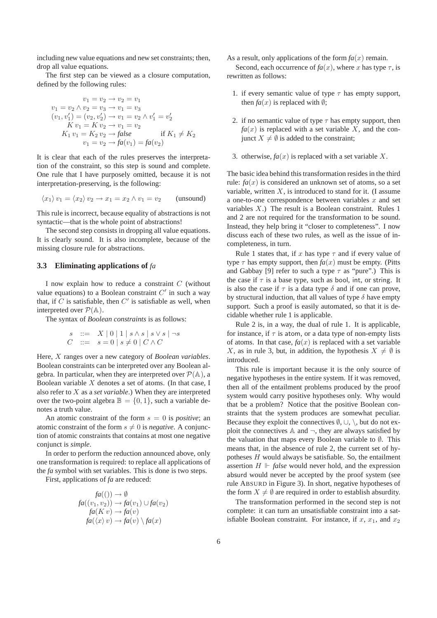including new value equations and new set constraints; then, drop all value equations.

The first step can be viewed as a closure computation, defined by the following rules:

$$
v_1 = v_2 \to v_2 = v_1
$$
  
\n
$$
v_1 = v_2 \land v_2 = v_3 \to v_1 = v_3
$$
  
\n
$$
(v_1, v'_1) = (v_2, v'_2) \to v_1 = v_2 \land v'_1 = v'_2
$$
  
\n
$$
K v_1 = K v_2 \to v_1 = v_2
$$
  
\n
$$
K_1 v_1 = K_2 v_2 \to false
$$
  
\n
$$
v_1 = v_2 \to fa(v_1) = fa(v_2)
$$

It is clear that each of the rules preserves the interpretation of the constraint, so this step is sound and complete. One rule that I have purposely omitted, because it is not interpretation-preserving, is the following:

$$
\langle x_1 \rangle v_1 = \langle x_2 \rangle v_2 \to x_1 = x_2 \land v_1 = v_2 \qquad \text{(unsound)}
$$

This rule is incorrect, because equality of abstractions is not syntactic—that is the whole point of abstractions!

The second step consists in dropping all value equations. It is clearly sound. It is also incomplete, because of the missing closure rule for abstractions.

# **3.3 Eliminating applications of** *fa*

I now explain how to reduce a constraint  $C$  (without value equations) to a Boolean constraint  $C'$  in such a way that, if  $C$  is satisfiable, then  $C'$  is satisfiable as well, when interpreted over  $\mathcal{P}(\mathbb{A})$ .

The syntax of *Boolean constraints* is as follows:

$$
s ::= X | 0 | 1 | s \wedge s | s \vee s | \neg s
$$
  

$$
C ::= s = 0 | s \neq 0 | C \wedge C
$$

Here, X ranges over a new category of *Boolean variables*. Boolean constraints can be interpreted over any Boolean algebra. In particular, when they are interpreted over  $\mathcal{P}(\mathbb{A})$ , a Boolean variable  $X$  denotes a set of atoms. (In that case, I also refer to X as a *set variable*.) When they are interpreted over the two-point algebra  $\mathbb{B} = \{0, 1\}$ , such a variable denotes a truth value.

An atomic constraint of the form  $s = 0$  is *positive*; an atomic constraint of the form  $s \neq 0$  is *negative*. A conjunction of atomic constraints that contains at most one negative conjunct is *simple*.

In order to perform the reduction announced above, only one transformation is required: to replace all applications of the *fa* symbol with set variables. This is done is two steps.

First, applications of *fa* are reduced:

$$
fa((v) \rightarrow \emptyset
$$
  
\n
$$
fa((v_1, v_2)) \rightarrow fa(v_1) \cup fa(v_2)
$$
  
\n
$$
fa(K v) \rightarrow fa(v)
$$
  
\n
$$
fa(\langle x \rangle v) \rightarrow fa(v) \setminus fa(x)
$$

As a result, only applications of the form  $fa(x)$  remain.

Second, each occurrence of  $f_a(x)$ , where x has type  $\tau$ , is rewritten as follows:

- 1. if every semantic value of type  $\tau$  has empty support, then  $fa(x)$  is replaced with  $\emptyset$ ;
- 2. if no semantic value of type  $\tau$  has empty support, then  $fa(x)$  is replaced with a set variable X, and the conjunct  $X \neq \emptyset$  is added to the constraint;
- 3. otherwise,  $fa(x)$  is replaced with a set variable X.

The basic idea behind this transformation resides in the third rule:  $fa(x)$  is considered an unknown set of atoms, so a set variable, written  $X$ , is introduced to stand for it. (I assume a one-to-one correspondence between variables  $x$  and set variables X.) The result is a Boolean constraint. Rules 1 and 2 are not required for the transformation to be sound. Instead, they help bring it "closer to completeness". I now discuss each of these two rules, as well as the issue of incompleteness, in turn.

Rule 1 states that, if x has type  $\tau$  and if every value of type  $\tau$  has empty support, then  $fa(x)$  must be empty. (Pitts and Gabbay [9] refer to such a type  $\tau$  as "pure".) This is the case if  $\tau$  is a base type, such as bool, int, or string. It is also the case if  $\tau$  is a data type  $\delta$  and if one can prove, by structural induction, that all values of type  $\delta$  have empty support. Such a proof is easily automated, so that it is decidable whether rule 1 is applicable.

Rule 2 is, in a way, the dual of rule 1. It is applicable, for instance, if  $\tau$  is atom, or a data type of non-empty lists of atoms. In that case,  $fa(x)$  is replaced with a set variable X, as in rule 3, but, in addition, the hypothesis  $X \neq \emptyset$  is introduced.

This rule is important because it is the only source of negative hypotheses in the entire system. If it was removed, then all of the entailment problems produced by the proof system would carry positive hypotheses only. Why would that be a problem? Notice that the positive Boolean constraints that the system produces are somewhat peculiar. Because they exploit the connectives  $\emptyset$ ,  $\cup$ ,  $\setminus$ , but do not exploit the connectives  $A$  and  $\neg$ , they are always satisfied by the valuation that maps every Boolean variable to ∅. This means that, in the absence of rule 2, the current set of hypotheses  $H$  would always be satisfiable. So, the entailment assertion  $H \Vdash false$  would never hold, and the expression absurd would never be accepted by the proof system (see rule ABSURD in Figure 3). In short, negative hypotheses of the form  $X \neq \emptyset$  are required in order to establish absurdity.

The transformation performed in the second step is not complete: it can turn an unsatisfiable constraint into a satisfiable Boolean constraint. For instance, if  $x$ ,  $x_1$ , and  $x_2$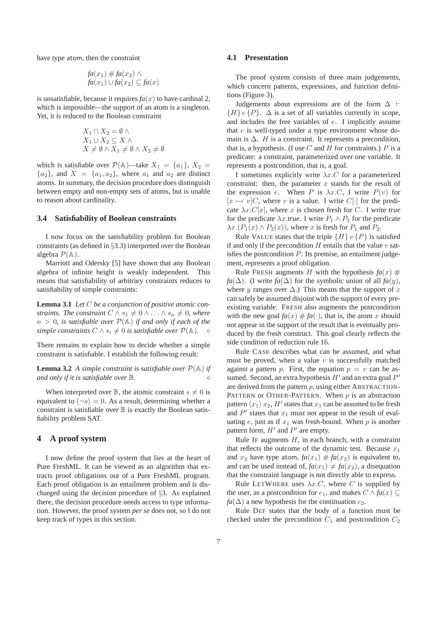have type atom, then the constraint

$$
fa(x_1) \# fa(x_2) \land
$$
  

$$
fa(x_1) \cup fa(x_2) \subseteq fa(x)
$$

is unsatisfiable, because it requires  $fa(x)$  to have cardinal 2, which is impossible—the support of an atom is a singleton. Yet, it is reduced to the Boolean constraint

$$
X_1 \cap X_2 = \emptyset \land X_1 \cup X_2 \subseteq X \land X \neq \emptyset \land X_1 \neq \emptyset \land X_2 \neq \emptyset
$$

which is satisfiable over  $\mathcal{P}(\mathbb{A})$ —take  $X_1 = \{a_1\}, X_2 =$  ${a_2}$ , and  $X = {a_1, a_2}$ , where  $a_1$  and  $a_2$  are distinct atoms. In summary, the decision procedure does distinguish between empty and non-empty sets of atoms, but is unable to reason about cardinality.

#### **3.4 Satisfiability of Boolean constraints**

I now focus on the satisfiability problem for Boolean constraints (as defined in §3.3) interpreted over the Boolean algebra  $\mathcal{P}(\mathbb{A})$ .

Marriott and Odersky [5] have shown that any Boolean algebra of infinite height is weakly independent. This means that satisfiability of arbitrary constraints reduces to satisfiability of simple constraints:

**Lemma 3.1** *Let* C *be a conjunction of positive atomic constraints. The constraint*  $C \wedge s_1 \neq 0 \wedge \ldots \wedge s_n \neq 0$ *, where*  $n > 0$ , is satisfiable over  $\mathcal{P}(\mathbb{A})$  if and only if each of the *simple constraints*  $C \wedge s_i \neq 0$  *is satisfiable over*  $\mathcal{P}(\mathbb{A})$ *.*  $\diamond$ 

There remains to explain how to decide whether a simple constraint is satisfiable. I establish the following result:

**Lemma 3.2** *A simple constraint is satisfiable over*  $P(A)$  *if and only if it is satisfiable over*  $\mathbb{B}$ *.*  $\diamond$ 

When interpreted over  $\mathbb{B}$ , the atomic constraint  $s \neq 0$  is equivalent to  $(\neg s) = 0$ . As a result, determining whether a constraint is satisfiable over  $\mathbb B$  is exactly the Boolean satisfiability problem SAT.

# **4 A proof system**

I now define the proof system that lies at the heart of Pure FreshML. It can be viewed as an algorithm that extracts proof obligations out of a Pure FreshML program. Each proof obligation is an entailment problem and is discharged using the decision procedure of §3. As explained there, the decision procedure needs access to type information. However, the proof system *per se* does not, so I do not keep track of types in this section.

#### **4.1 Presentation**

The proof system consists of three main judgements, which concern patterns, expressions, and function definitions (Figure 3).

Judgements about expressions are of the form  $\Delta$  ⊢  $\{H\}e\{P\}$ .  $\Delta$  is a set of all variables currently in scope, and includes the free variables of  $e$ . I implicitly assume that  $e$  is well-typed under a type environment whose domain is  $\Delta$ . H is a constraint. It represents a precondition, that is, a hypothesis. (I use  $C$  and  $H$  for constraints.)  $P$  is a predicate: a constraint, parameterized over one variable. It represents a postcondition, that is, a goal.

I sometimes explicitly write  $\lambda x$ . C for a parameterized constraint: then, the parameter  $x$  stands for the result of the expression e. When P is  $\lambda x.C$ , I write  $P(v)$  for  $[x \mapsto v]C$ , where v is a value. I write C[·] for the predicate  $\lambda x$ .  $C[x]$ , where x is chosen fresh for C. I write *true* for the predicate  $\lambda x$ .*true*. I write  $P_1 \wedge P_2$  for the predicate  $\lambda x.(P_1(x) \wedge P_2(x))$ , where x is fresh for  $P_1$  and  $P_2$ .

Rule VALUE states that the triple  $\{H\} v \{P\}$  is satisfied if and only if the precondition  $H$  entails that the value  $v$  satisfies the postcondition  $P$ . Its premise, an entailment judgement, represents a proof obligation.

Rule FRESH augments H with the hypothesis  $fa(x) \neq$ *fa*( $\Delta$ ). (I write *fa*( $\Delta$ ) for the symbolic union of all *fa*(y), where y ranges over  $\Delta$ .) This means that the support of x can safely be assumed disjoint with the support of every preexisting variable. FRESH also augments the postcondition with the new goal  $fa(x) \# fa(\cdot)$ , that is, the atom x should not appear in the support of the result that is eventually produced by the fresh construct. This goal clearly reflects the side condition of reduction rule 16.

Rule CASE describes what can be assumed, and what must be proved, when a value  $v$  is successfully matched against a pattern p. First, the equation  $p = v$  can be assumed. Second, an extra hypothesis  $H'$  and an extra goal  $P'$ are derived from the pattern  $p$ , using either ABSTRACTION-PATTERN or OTHER-PATTERN. When  $p$  is an abstraction pattern  $\langle x_1 \rangle x_2$ , H' states that  $x_1$  can be assumed to be fresh and  $P'$  states that  $x_1$  must not appear in the result of evaluating e, just as if  $x_1$  was fresh-bound. When p is another pattern form,  $H'$  and  $P'$  are empty.

Rule IF augments  $H$ , in each branch, with a constraint that reflects the outcome of the dynamic test. Because  $x_1$ and  $x_2$  have type atom,  $fa(x_1) \# fa(x_2)$  is equivalent to, and can be used instead of,  $fa(x_1) \neq fa(x_2)$ , a disequation that the constraint language is not directly able to express.

Rule LETWHERE uses  $\lambda x.C$ , where C is supplied by the user, as a postcondition for  $e_1$ , and makes  $C \wedge fa(x) \subseteq$  $fa(\Delta)$  a new hypothesis for the continuation  $e_2$ .

Rule DEF states that the body of a function must be checked under the precondition  $C_1$  and postcondition  $C_2$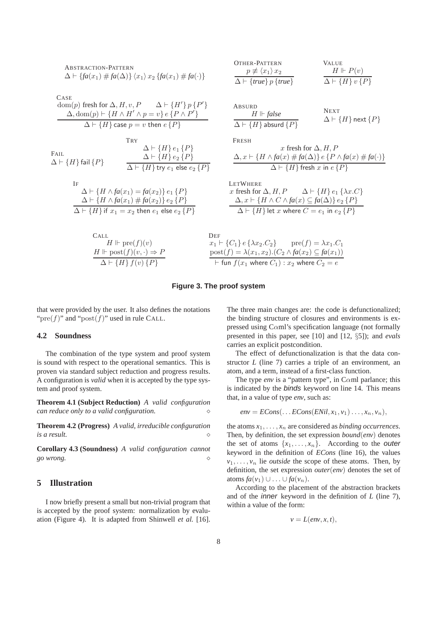ABSTRACTION-PATTERIN  
\n
$$
\Delta \vdash \{fa(x_1) \#fa(\Delta)\} \langle x_1 \rangle x_2 \{fa(x_1) \#fa(\cdot)\} \rangle
$$
\n
$$
\begin{array}{c}\n\text{GASE} \\
\Delta \vdash \{fh(x_1) \#fa(\Delta)\} \langle x_1 \rangle x_2 \{fa(x_1) \#fa(\cdot)\} \rangle\n\end{array}
$$
\n
$$
\begin{array}{c}\n\text{GASE} \\
\Delta \vdash \{H\} \lor P\} \\
\Delta \vdash \{H\} \lor P\} \\
\Delta \vdash \{H\} \lor P\} \\
\Delta \vdash \{H\} \land P\} \\
\Delta \vdash \{H\} \land P\} \\
\Delta \vdash \{H\} \land P\} \\
\Delta \vdash \{H\} \land P\} \\
\Delta \vdash \{H\} \land P\} \\
\Delta \vdash \{H\} \land P\} \\
\Delta \vdash \{H\} \land P\} \\
\Delta \vdash \{H\} \land P\} \\
\Delta \vdash \{H\} \land P\} \\
\Delta \vdash \{H\} \land P\} \\
\Delta \vdash \{H\} \land P\} \\
\Delta \vdash \{H\} \land P\} \\
\Delta \vdash \{H\} \land P\} \\
\Delta \vdash \{H\} \land P\} \\
\Delta \vdash \{H\} \land P\} \\
\Delta \vdash \{H\} \land P\} \\
\Delta \vdash \{H\} \land P\} \\
\Delta \vdash \{H\} \land P\} \\
\Delta \vdash \{H\} \land P\} \\
\Delta \vdash \{H\} \land P\} \\
\Delta \vdash \{H\} \land P\} \\
\Delta \vdash \{H\} \land P\} \\
\Delta \vdash \{H\} \land P\} \\
\Delta \vdash \{H\} \land P\} \\
\Delta \vdash \{H\} \land P\} \\
\Delta \vdash \{H\} \land P\} \\
\Delta \vdash \{H\} \land P\} \\
\Delta \vdash \{H\} \land P\} \\
\Delta \vdash \{H\} \land P\} \\
\Delta \vdash \{H\} \land P\} \\
\Delta \vdash \{H\} \land P\} \\
\Delta \vdash \{H\} \land P\} \\
\Delta \vdash \{H\} \land P\} \\
\Delta \vdash \{H\} \land P\} \\
\Delta \vdash \{H\} \land P\}
$$

### **Figure 3. The proof system**

that were provided by the user. It also defines the notations "pre $(f)$ " and "post $(f)$ " used in rule CALL.

### **4.2 Soundness**

The combination of the type system and proof system is sound with respect to the operational semantics. This is proven via standard subject reduction and progress results. A configuration is *valid* when it is accepted by the type system and proof system.

**Theorem 4.1 (Subject Reduction)** *A valid configuration can reduce only to a valid configuration.* ⋄

**Theorem 4.2 (Progress)** *A valid, irreducible configuration is a result.* 

**Corollary 4.3 (Soundness)** *A valid configuration cannot*  $g$ o wrong.  $\Diamond$ 

# **5 Illustration**

I now briefly present a small but non-trivial program that is accepted by the proof system: normalization by evaluation (Figure 4). It is adapted from Shinwell *et al.* [16]. The three main changes are: the code is defunctionalized; the binding structure of closures and environments is expressed using Cαml's specification language (not formally presented in this paper, see [10] and [12, §5]); and *evals* carries an explicit postcondition.

 $\{P\}$ 

 $fa(\cdot)$ }

The effect of defunctionalization is that the data constructor *L* (line 7) carries a triple of an environment, an atom, and a term, instead of a first-class function.

The type *env* is a "pattern type", in Caml parlance; this is indicated by the *binds* keyword on line 14. This means that, in a value of type *env*, such as:

$$
env = ECons(...ECons(ENil, x_1, v_1)..., x_n, v_n),
$$

the atoms  $x_1, \ldots, x_n$  are considered as *binding occurrences*. Then, by definition, the set expression *bound*(*env*) denotes the set of atoms  $\{x_1, \ldots, x_n\}$ . According to the outer keyword in the definition of *ECons* (line 16), the values  $v_1, \ldots, v_n$  lie *outside* the scope of these atoms. Then, by definition, the set expression *outer*(*env*) denotes the set of atoms  $fa(v_1) \cup ... \cup fa(v_n)$ .

According to the placement of the abstraction brackets and of the inner keyword in the definition of *L* (line 7), within a value of the form:

$$
v=L(\text{env},x,t),
$$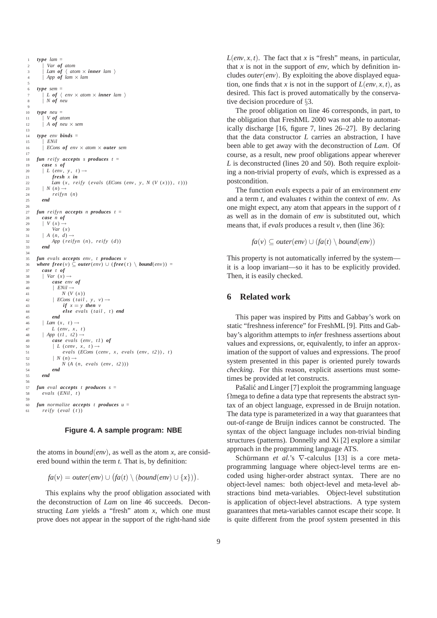```
1 type lam =
2 | Var of atom
3 | Lam of \langle atom \times inner lam \rangle4 | App of lam × lam
 6 type sem =
          L of \langle env \times atom \times inner lam \rangle8 | N of neu
10 type neu =
11 | V of atom
12 | A of neu × sem
14 type env binds =
15 | ENil
          ECons of env \times atom \times outer sem
18 fun reify accepts s produces t =19 case s of
20 \boxed{L \text{ (env, y, t)}}21 fresh x in
22 Lam (x , reify ( evals (ECons ( env , y , N (V ( x )) ) , t ) ))
23 \mid N(n) \rightarrow24 reifyn (n)
25 end
27 fun reifyn accepts n produces t =
28 case n of
29 | V (x) -30 Var ( x)
31 \quad | \quad A \quad (n, \quad d) \rightarrow32 App (reifyn (n) , reify (d))
        33 end
35 fun evals accepts env , t produces v
36 where free(v) \subseteq outer(env) \cup (free(t) \setminus bound(env)) = case t of
\begin{array}{ccc} 37 & \text{case} \text{ } t \text{ } \text{ } of \end{array}<br>38 | \begin{array}{ccc} \text{Var} & (x) \end{array}\begin{array}{ccc} 38 & | & Var(x) \rightarrow<br>39 case en
39 case env of<br>40 i ENil \rightarrow40 | ENil \rightarrow<br>41 N (V41 N (V ( x ))
42 | ECons (tail, v, v) \rightarrow43 if x = y then y
44 else evals ( tail , t ) end
             45 end
46 | Lam (x , t ) →
            47 L (env , x , t )
48 | App (t1, t2) –
49 case evals (env, t1) of
\begin{array}{ccc} 50 & | \ L \ (conv, \ x, \ t) \ -51 & evals \ (ECons \ (iv) \end{array}51 evals (ECons (cenv, x, evals (env, t2)), t) \Rightarrow | N(n) \rightarrow52 \qquad \qquad N(n) \rightarrow<br>53 N(A)\hat{N}(A(n, evals (env, t2)))54 end
55 end
57 fun eval accepts t produces s =
58 evals (ENil , t )
60 fun normalize accepts t produces u =
61 reify ( eval ( t ))
```
5

9

13

17

26

34

56

59

#### **Figure 4. A sample program: NBE**

the atoms in  $bound(\textit{env})$ , as well as the atom *x*, are considered bound within the term *t*. That is, by definition:

 $fa(v) = outer(\text{env}) \cup (fa(t) \setminus (bound(\text{env}) \cup \{x\})$ .

This explains why the proof obligation associated with the deconstruction of *Lam* on line 46 succeeds. Deconstructing *Lam* yields a "fresh" atom *x*, which one must prove does not appear in the support of the right-hand side  $L(\text{env}, x, t)$ . The fact that *x* is "fresh" means, in particular, that *x* is not in the support of *env*, which by definition includes *outer*(*env*). By exploiting the above displayed equation, one finds that *x* is not in the support of  $L(\text{env}, x, t)$ , as desired. This fact is proved automatically by the conservative decision procedure of §3.

The proof obligation on line 46 corresponds, in part, to the obligation that FreshML 2000 was not able to automatically discharge [16, figure 7, lines 26–27]. By declaring that the data constructor *L* carries an abstraction, I have been able to get away with the deconstruction of *Lam*. Of course, as a result, new proof obligations appear wherever *L* is deconstructed (lines 20 and 50). Both require exploiting a non-trivial property of *evals*, which is expressed as a postcondition.

The function *evals* expects a pair of an environment *env* and a term *t*, and evaluates *t* within the context of *env*. As one might expect, any atom that appears in the support of *t* as well as in the domain of *env* is substituted out, which means that, if *evals* produces a result *v*, then (line 36):

$$
fa(v) \subseteq outer(env) \cup (fa(t) \setminus bound(env))
$$

This property is not automatically inferred by the system it is a loop invariant—so it has to be explicitly provided. Then, it is easily checked.

# **6 Related work**

This paper was inspired by Pitts and Gabbay's work on static "freshness inference" for FreshML [9]. Pitts and Gabbay's algorithm attempts to *infer* freshness assertions about values and expressions, or, equivalently, to infer an approximation of the support of values and expressions. The proof system presented in this paper is oriented purely towards *checking*. For this reason, explicit assertions must sometimes be provided at let constructs.

Pašalić and Linger [7] exploit the programming language Ωmega to define a data type that represents the abstract syntax of an object language, expressed in de Bruijn notation. The data type is parameterized in a way that guarantees that out-of-range de Bruijn indices cannot be constructed. The syntax of the object language includes non-trivial binding structures (patterns). Donnelly and Xi [2] explore a similar approach in the programming language ATS.

Schürmann *et al.*'s ∇-calculus [13] is a core metaprogramming language where object-level terms are encoded using higher-order abstract syntax. There are no object-level names: both object-level and meta-level abstractions bind meta-variables. Object-level substitution is application of object-level abstractions. A type system guarantees that meta-variables cannot escape their scope. It is quite different from the proof system presented in this